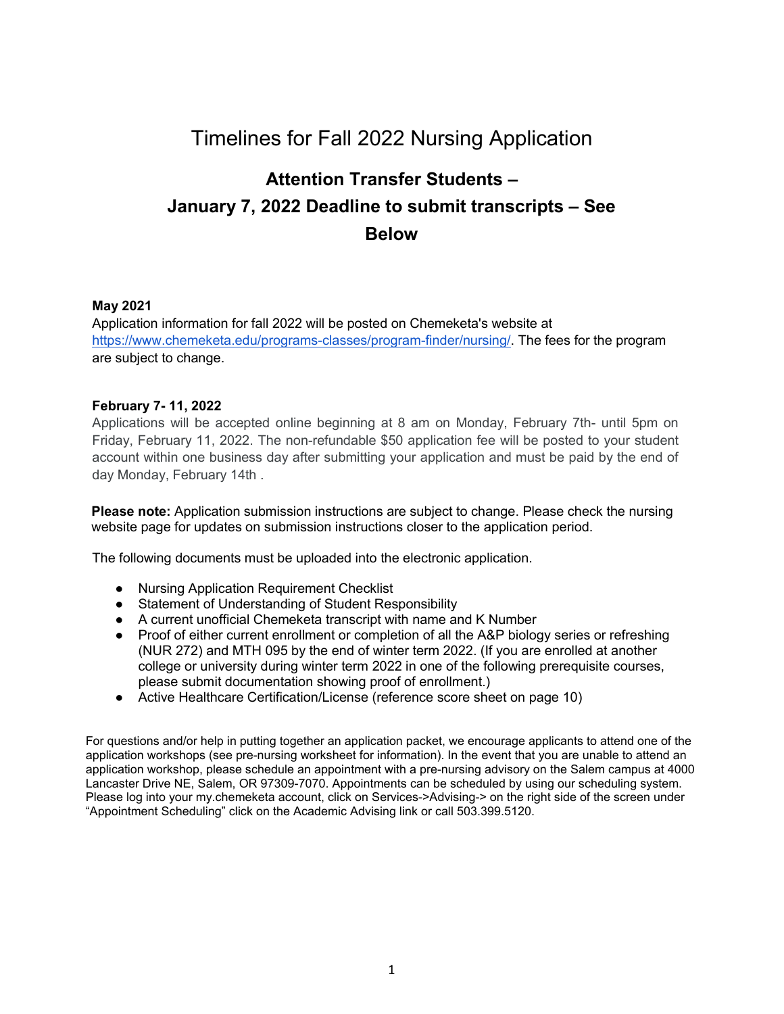# Timelines for Fall 2022 Nursing Application

# **Attention Transfer Students – January 7, 2022 Deadline to submit transcripts – See Below**

### **May 2021**

Application information for fall 2022 will be posted on Chemeketa's website at <https://www.chemeketa.edu/programs-classes/program-finder/nursing/>[.](http://www.chemeketa.edu/programs/nursing/index.html) The fees for the program are subject to change.

### **February 7- 11, 2022**

Applications will be accepted online beginning at 8 am on Monday, February 7th- until 5pm on Friday, February 11, 2022. The non-refundable \$50 application fee will be posted to your student account within one business day after submitting your application and must be paid by the end of day Monday, February 14th .

**Please note:** Application submission instructions are subject to change. Please check the nursing website page for updates on submission instructions closer to the application period.

The following documents must be uploaded into the electronic application.

- Nursing Application Requirement Checklist
- Statement of Understanding of Student Responsibility
- A current unofficial Chemeketa transcript with name and K Number
- Proof of either current enrollment or completion of all the A&P biology series or refreshing (NUR 272) and MTH 095 by the end of winter term 2022. (If you are enrolled at another college or university during winter term 2022 in one of the following prerequisite courses, please submit documentation showing proof of enrollment.)
- Active Healthcare Certification/License (reference score sheet on page 10)

For questions and/or help in putting together an application packet, we encourage applicants to attend one of the application workshops (see pre-nursing worksheet for information). In the event that you are unable to attend an application workshop, please schedule an appointment with a pre-nursing advisory on the Salem campus at 4000 Lancaster Drive NE, Salem, OR 97309-7070. Appointments can be scheduled by using our scheduling system. Please log into your my.chemeketa account, click on Services->Advising-> on the right side of the screen under "Appointment Scheduling" click on the Academic Advising link or call 503.399.5120.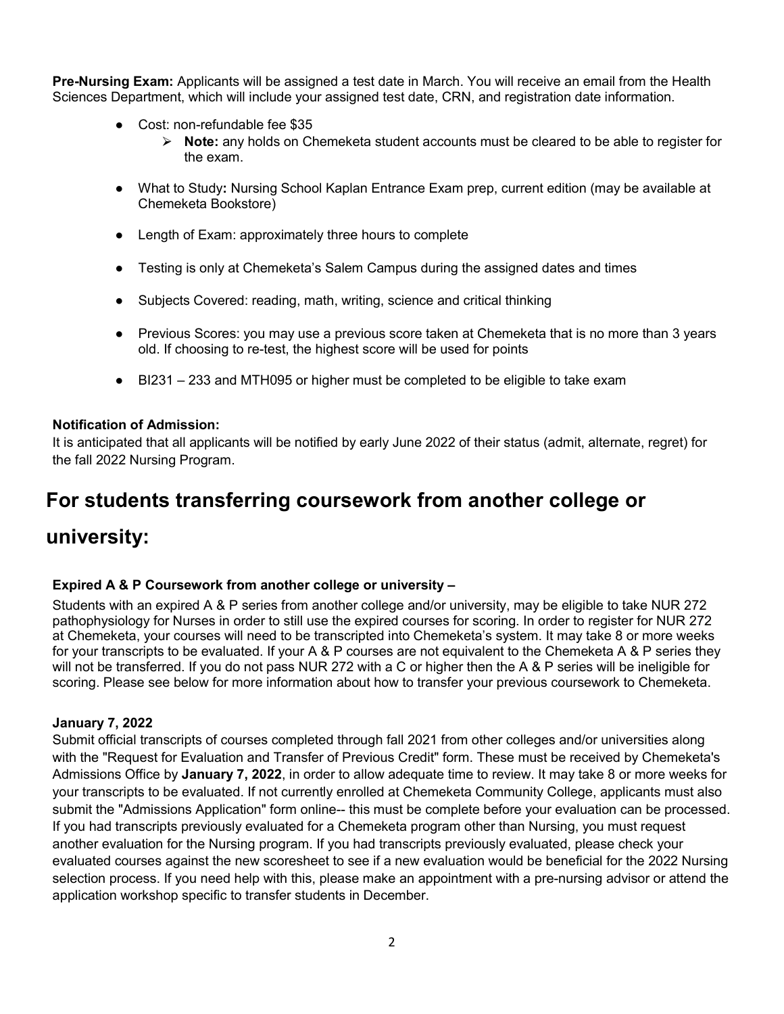**Pre-Nursing Exam:** Applicants will be assigned a test date in March. You will receive an email from the Health Sciences Department, which will include your assigned test date, CRN, and registration date information.

- Cost: non-refundable fee \$35
	- ⮚ **Note:** any holds on Chemeketa student accounts must be cleared to be able to register for the exam.
- What to Study**:** Nursing School Kaplan Entrance Exam prep, current edition (may be available at Chemeketa Bookstore)
- Length of Exam: approximately three hours to complete
- Testing is only at Chemeketa's Salem Campus during the assigned dates and times
- Subjects Covered: reading, math, writing, science and critical thinking
- Previous Scores: you may use a previous score taken at Chemeketa that is no more than 3 years old. If choosing to re-test, the highest score will be used for points
- BI231 233 and MTH095 or higher must be completed to be eligible to take exam

### **Notification of Admission:**

It is anticipated that all applicants will be notified by early June 2022 of their status (admit, alternate, regret) for the fall 2022 Nursing Program.

## **For students transferring coursework from another college or**

## **university:**

### **Expired A & P Coursework from another college or university –**

Students with an expired A & P series from another college and/or university, may be eligible to take NUR 272 pathophysiology for Nurses in order to still use the expired courses for scoring. In order to register for NUR 272 at Chemeketa, your courses will need to be transcripted into Chemeketa's system. It may take 8 or more weeks for your transcripts to be evaluated. If your A & P courses are not equivalent to the Chemeketa A & P series they will not be transferred. If you do not pass NUR 272 with a C or higher then the A & P series will be ineligible for scoring. Please see below for more information about how to transfer your previous coursework to Chemeketa.

### **January 7, 2022**

Submit official transcripts of courses completed through fall 2021 from other colleges and/or universities along with the "Request for Evaluation and Transfer of Previous Credit" form. These must be received by Chemeketa's Admissions Office by **January 7, 2022**, in order to allow adequate time to review. It may take 8 or more weeks for your transcripts to be evaluated. If not currently enrolled at Chemeketa Community College, applicants must also submit the "Admissions Application" form online-- this must be complete before your evaluation can be processed. If you had transcripts previously evaluated for a Chemeketa program other than Nursing, you must request another evaluation for the Nursing program. If you had transcripts previously evaluated, please check your evaluated courses against the new scoresheet to see if a new evaluation would be beneficial for the 2022 Nursing selection process. If you need help with this, please make an appointment with a pre-nursing advisor or attend the application workshop specific to transfer students in December.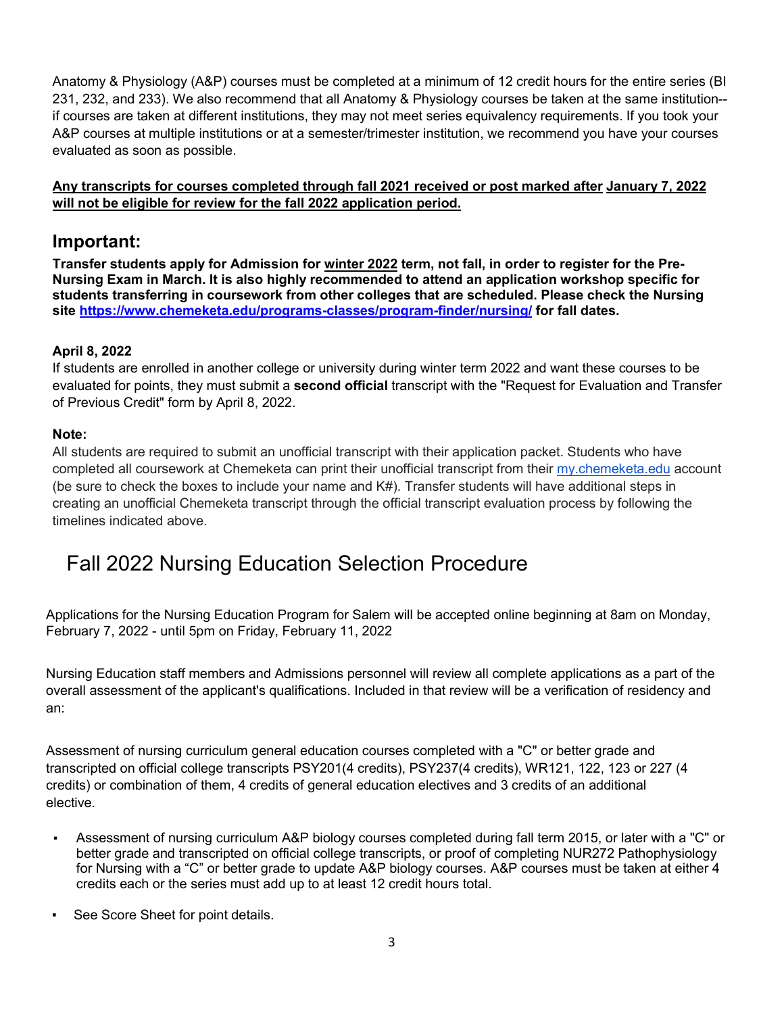Anatomy & Physiology (A&P) courses must be completed at a minimum of 12 credit hours for the entire series (BI 231, 232, and 233). We also recommend that all Anatomy & Physiology courses be taken at the same institution- if courses are taken at different institutions, they may not meet series equivalency requirements. If you took your A&P courses at multiple institutions or at a semester/trimester institution, we recommend you have your courses evaluated as soon as possible.

### **Any transcripts for courses completed through fall 2021 received or post marked after January 7, 2022 will not be eligible for review for the fall 2022 application period.**

## **Important:**

**Transfer students apply for Admission for winter 2022 term, not fall, in order to register for the Pre-Nursing Exam in March. It is also highly recommended to attend an application workshop specific for students transferring in coursework from other colleges that are scheduled. Please check the Nursing site<https://www.chemeketa.edu/programs-classes/program-finder/nursing/> for fall dates.** 

### **April 8, 2022**

If students are enrolled in another college or university during winter term 2022 and want these courses to be evaluated for points, they must submit a **second official** transcript with the "Request for Evaluation and Transfer of Previous Credit" form by April 8, 2022.

### **Note:**

All students are required to submit an unofficial transcript with their application packet. Students who have completed all coursework at Chemeketa can print their unofficial transcript from their [my.chemeketa.edu](http://my.chemeketa.edu/) account (be sure to check the boxes to include your name and K#). Transfer students will have additional steps in creating an unofficial Chemeketa transcript through the official transcript evaluation process by following the timelines indicated above.

# Fall 2022 Nursing Education Selection Procedure

Applications for the Nursing Education Program for Salem will be accepted online beginning at 8am on Monday, February 7, 2022 - until 5pm on Friday, February 11, 2022

Nursing Education staff members and Admissions personnel will review all complete applications as a part of the overall assessment of the applicant's qualifications. Included in that review will be a verification of residency and an:

Assessment of nursing curriculum general education courses completed with a "C" or better grade and transcripted on official college transcripts PSY201(4 credits), PSY237(4 credits), WR121, 122, 123 or 227 (4 credits) or combination of them, 4 credits of general education electives and 3 credits of an additional elective.

- Assessment of nursing curriculum A&P biology courses completed during fall term 2015, or later with a "C" or better grade and transcripted on official college transcripts, or proof of completing NUR272 Pathophysiology for Nursing with a "C" or better grade to update A&P biology courses. A&P courses must be taken at either 4 credits each or the series must add up to at least 12 credit hours total.
- See Score Sheet for point details.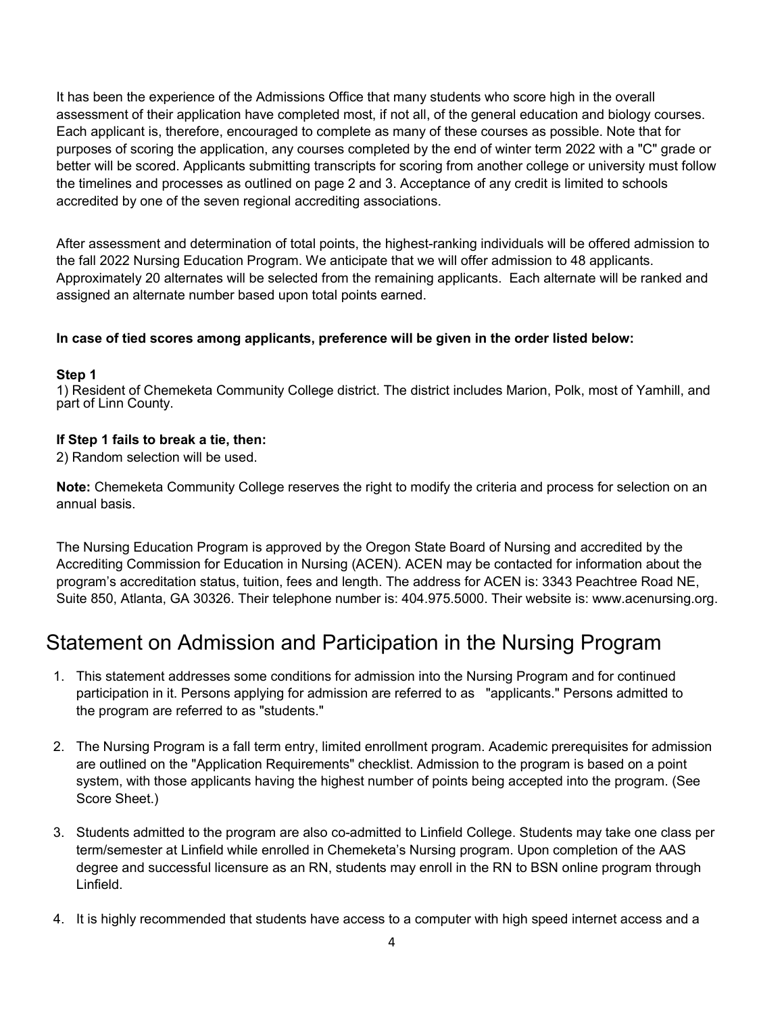It has been the experience of the Admissions Office that many students who score high in the overall assessment of their application have completed most, if not all, of the general education and biology courses. Each applicant is, therefore, encouraged to complete as many of these courses as possible. Note that for purposes of scoring the application, any courses completed by the end of winter term 2022 with a "C" grade or better will be scored. Applicants submitting transcripts for scoring from another college or university must follow the timelines and processes as outlined on page 2 and 3. Acceptance of any credit is limited to schools accredited by one of the seven regional accrediting associations.

After assessment and determination of total points, the highest-ranking individuals will be offered admission to the fall 2022 Nursing Education Program. We anticipate that we will offer admission to 48 applicants. Approximately 20 alternates will be selected from the remaining applicants. Each alternate will be ranked and assigned an alternate number based upon total points earned.

### **In case of tied scores among applicants, preference will be given in the order listed below:**

### **Step 1**

1) Resident of Chemeketa Community College district. The district includes Marion, Polk, most of Yamhill, and part of Linn County.

### **If Step 1 fails to break a tie, then:**

2) Random selection will be used.

**Note:** Chemeketa Community College reserves the right to modify the criteria and process for selection on an annual basis.

The Nursing Education Program is approved by the Oregon State Board of Nursing and accredited by the Accrediting Commission for Education in Nursing (ACEN). ACEN may be contacted for information about the program's accreditation status, tuition, fees and length. The address for ACEN is: 3343 Peachtree Road NE, Suite 850, Atlanta, GA 30326. Their telephone number is: 404.975.5000. Their website is: [www.acenursing.org.](http://www.acenursing.org/)

# Statement on Admission and Participation in the Nursing Program

- 1. This statement addresses some conditions for admission into the Nursing Program and for continued participation in it. Persons applying for admission are referred to as "applicants." Persons admitted to the program are referred to as "students."
- 2. The Nursing Program is a fall term entry, limited enrollment program. Academic prerequisites for admission are outlined on the "Application Requirements" checklist. Admission to the program is based on a point system, with those applicants having the highest number of points being accepted into the program. (See Score Sheet.)
- 3. Students admitted to the program are also co-admitted to Linfield College. Students may take one class per term/semester at Linfield while enrolled in Chemeketa's Nursing program. Upon completion of the AAS degree and successful licensure as an RN, students may enroll in the RN to BSN online program through Linfield.
- 4. It is highly recommended that students have access to a computer with high speed internet access and a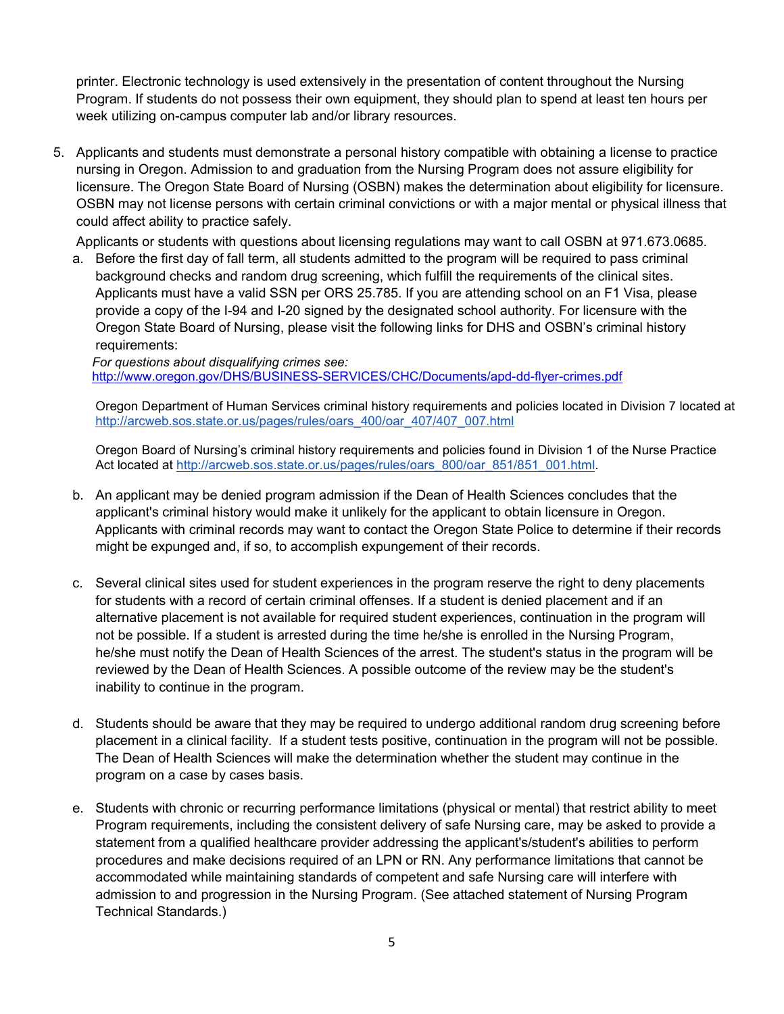printer. Electronic technology is used extensively in the presentation of content throughout the Nursing Program. If students do not possess their own equipment, they should plan to spend at least ten hours per week utilizing on-campus computer lab and/or library resources.

5. Applicants and students must demonstrate a personal history compatible with obtaining a license to practice nursing in Oregon. Admission to and graduation from the Nursing Program does not assure eligibility for licensure. The Oregon State Board of Nursing (OSBN) makes the determination about eligibility for licensure. OSBN may not license persons with certain criminal convictions or with a major mental or physical illness that could affect ability to practice safely.

Applicants or students with questions about licensing regulations may want to call OSBN at 971.673.0685.

a. Before the first day of fall term, all students admitted to the program will be required to pass criminal background checks and random drug screening, which fulfill the requirements of the clinical sites. Applicants must have a valid SSN per ORS 25.785. If you are attending school on an F1 Visa, please provide a copy of the I-94 and I-20 signed by the designated school authority. For licensure with the Oregon State Board of Nursing, please visit the following links for DHS and OSBN's criminal history requirements:

*For questions about disqualifying crimes see:*  <http://www.oregon.gov/DHS/BUSINESS-SERVICES/CHC/Documents/apd-dd-flyer-crimes.pdf>

Oregon Department of Human Services criminal history requirements and policies located in Division 7 located at [http://arcweb.sos.state.or.us/pages/rules/oars\\_400/oar\\_407/407\\_007.html](http://arcweb.sos.state.or.us/pages/rules/oars_400/oar_407/407_007.html)

Oregon Board of Nursing's criminal history requirements and policies found in Division 1 of the Nurse Practice Act located at [http://arcweb.sos.state.or.us/pages/rules/oars\\_800/oar\\_851/851\\_001.html.](http://arcweb.sos.state.or.us/pages/rules/oars_800/oar_851/851_001.html)

- b. An applicant may be denied program admission if the Dean of Health Sciences concludes that the applicant's criminal history would make it unlikely for the applicant to obtain licensure in Oregon. Applicants with criminal records may want to contact the Oregon State Police to determine if their records might be expunged and, if so, to accomplish expungement of their records.
- c. Several clinical sites used for student experiences in the program reserve the right to deny placements for students with a record of certain criminal offenses. If a student is denied placement and if an alternative placement is not available for required student experiences, continuation in the program will not be possible. If a student is arrested during the time he/she is enrolled in the Nursing Program, he/she must notify the Dean of Health Sciences of the arrest. The student's status in the program will be reviewed by the Dean of Health Sciences. A possible outcome of the review may be the student's inability to continue in the program.
- d. Students should be aware that they may be required to undergo additional random drug screening before placement in a clinical facility. If a student tests positive, continuation in the program will not be possible. The Dean of Health Sciences will make the determination whether the student may continue in the program on a case by cases basis.
- e. Students with chronic or recurring performance limitations (physical or mental) that restrict ability to meet Program requirements, including the consistent delivery of safe Nursing care, may be asked to provide a statement from a qualified healthcare provider addressing the applicant's/student's abilities to perform procedures and make decisions required of an LPN or RN. Any performance limitations that cannot be accommodated while maintaining standards of competent and safe Nursing care will interfere with admission to and progression in the Nursing Program. (See attached statement of Nursing Program Technical Standards.)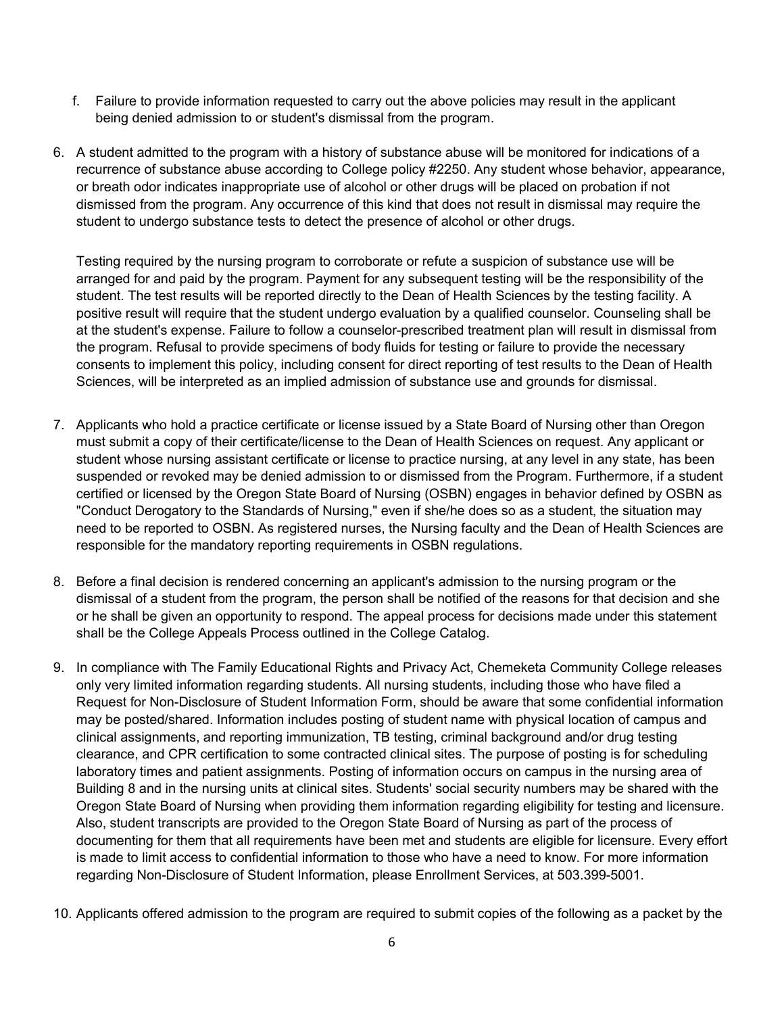- f. Failure to provide information requested to carry out the above policies may result in the applicant being denied admission to or student's dismissal from the program.
- 6. A student admitted to the program with a history of substance abuse will be monitored for indications of a recurrence of substance abuse according to College policy #2250. Any student whose behavior, appearance, or breath odor indicates inappropriate use of alcohol or other drugs will be placed on probation if not dismissed from the program. Any occurrence of this kind that does not result in dismissal may require the student to undergo substance tests to detect the presence of alcohol or other drugs.

Testing required by the nursing program to corroborate or refute a suspicion of substance use will be arranged for and paid by the program. Payment for any subsequent testing will be the responsibility of the student. The test results will be reported directly to the Dean of Health Sciences by the testing facility. A positive result will require that the student undergo evaluation by a qualified counselor. Counseling shall be at the student's expense. Failure to follow a counselor-prescribed treatment plan will result in dismissal from the program. Refusal to provide specimens of body fluids for testing or failure to provide the necessary consents to implement this policy, including consent for direct reporting of test results to the Dean of Health Sciences, will be interpreted as an implied admission of substance use and grounds for dismissal.

- 7. Applicants who hold a practice certificate or license issued by a State Board of Nursing other than Oregon must submit a copy of their certificate/license to the Dean of Health Sciences on request. Any applicant or student whose nursing assistant certificate or license to practice nursing, at any level in any state, has been suspended or revoked may be denied admission to or dismissed from the Program. Furthermore, if a student certified or licensed by the Oregon State Board of Nursing (OSBN) engages in behavior defined by OSBN as "Conduct Derogatory to the Standards of Nursing," even if she/he does so as a student, the situation may need to be reported to OSBN. As registered nurses, the Nursing faculty and the Dean of Health Sciences are responsible for the mandatory reporting requirements in OSBN regulations.
- 8. Before a final decision is rendered concerning an applicant's admission to the nursing program or the dismissal of a student from the program, the person shall be notified of the reasons for that decision and she or he shall be given an opportunity to respond. The appeal process for decisions made under this statement shall be the College Appeals Process outlined in the College Catalog.
- 9. In compliance with The Family Educational Rights and Privacy Act, Chemeketa Community College releases only very limited information regarding students. All nursing students, including those who have filed a Request for Non-Disclosure of Student Information Form, should be aware that some confidential information may be posted/shared. Information includes posting of student name with physical location of campus and clinical assignments, and reporting immunization, TB testing, criminal background and/or drug testing clearance, and CPR certification to some contracted clinical sites. The purpose of posting is for scheduling laboratory times and patient assignments. Posting of information occurs on campus in the nursing area of Building 8 and in the nursing units at clinical sites. Students' social security numbers may be shared with the Oregon State Board of Nursing when providing them information regarding eligibility for testing and licensure. Also, student transcripts are provided to the Oregon State Board of Nursing as part of the process of documenting for them that all requirements have been met and students are eligible for licensure. Every effort is made to limit access to confidential information to those who have a need to know. For more information regarding Non-Disclosure of Student Information, please Enrollment Services, at 503.399-5001.
- 10. Applicants offered admission to the program are required to submit copies of the following as a packet by the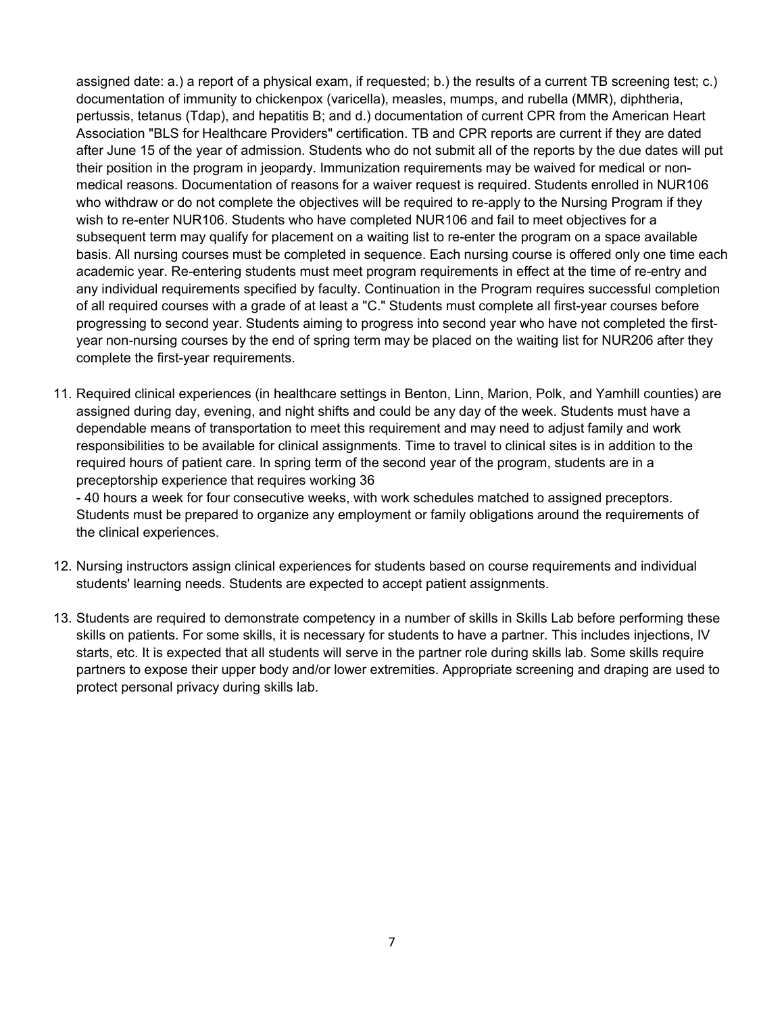assigned date: a.) a report of a physical exam, if requested; b.) the results of a current TB screening test; c.) documentation of immunity to chickenpox (varicella), measles, mumps, and rubella (MMR), diphtheria, pertussis, tetanus (Tdap), and hepatitis B; and d.) documentation of current CPR from the American Heart Association "BLS for Healthcare Providers" certification. TB and CPR reports are current if they are dated after June 15 of the year of admission. Students who do not submit all of the reports by the due dates will put their position in the program in jeopardy. Immunization requirements may be waived for medical or nonmedical reasons. Documentation of reasons for a waiver request is required. Students enrolled in NUR106 who withdraw or do not complete the objectives will be required to re-apply to the Nursing Program if they wish to re-enter NUR106. Students who have completed NUR106 and fail to meet objectives for a subsequent term may qualify for placement on a waiting list to re-enter the program on a space available basis. All nursing courses must be completed in sequence. Each nursing course is offered only one time each academic year. Re-entering students must meet program requirements in effect at the time of re-entry and any individual requirements specified by faculty. Continuation in the Program requires successful completion of all required courses with a grade of at least a "C." Students must complete all first-year courses before progressing to second year. Students aiming to progress into second year who have not completed the firstyear non-nursing courses by the end of spring term may be placed on the waiting list for NUR206 after they complete the first-year requirements.

11. Required clinical experiences (in healthcare settings in Benton, Linn, Marion, Polk, and Yamhill counties) are assigned during day, evening, and night shifts and could be any day of the week. Students must have a dependable means of transportation to meet this requirement and may need to adjust family and work responsibilities to be available for clinical assignments. Time to travel to clinical sites is in addition to the required hours of patient care. In spring term of the second year of the program, students are in a preceptorship experience that requires working 36

- 40 hours a week for four consecutive weeks, with work schedules matched to assigned preceptors. Students must be prepared to organize any employment or family obligations around the requirements of the clinical experiences.

- 12. Nursing instructors assign clinical experiences for students based on course requirements and individual students' learning needs. Students are expected to accept patient assignments.
- 13. Students are required to demonstrate competency in a number of skills in Skills Lab before performing these skills on patients. For some skills, it is necessary for students to have a partner. This includes injections, IV starts, etc. It is expected that all students will serve in the partner role during skills lab. Some skills require partners to expose their upper body and/or lower extremities. Appropriate screening and draping are used to protect personal privacy during skills lab.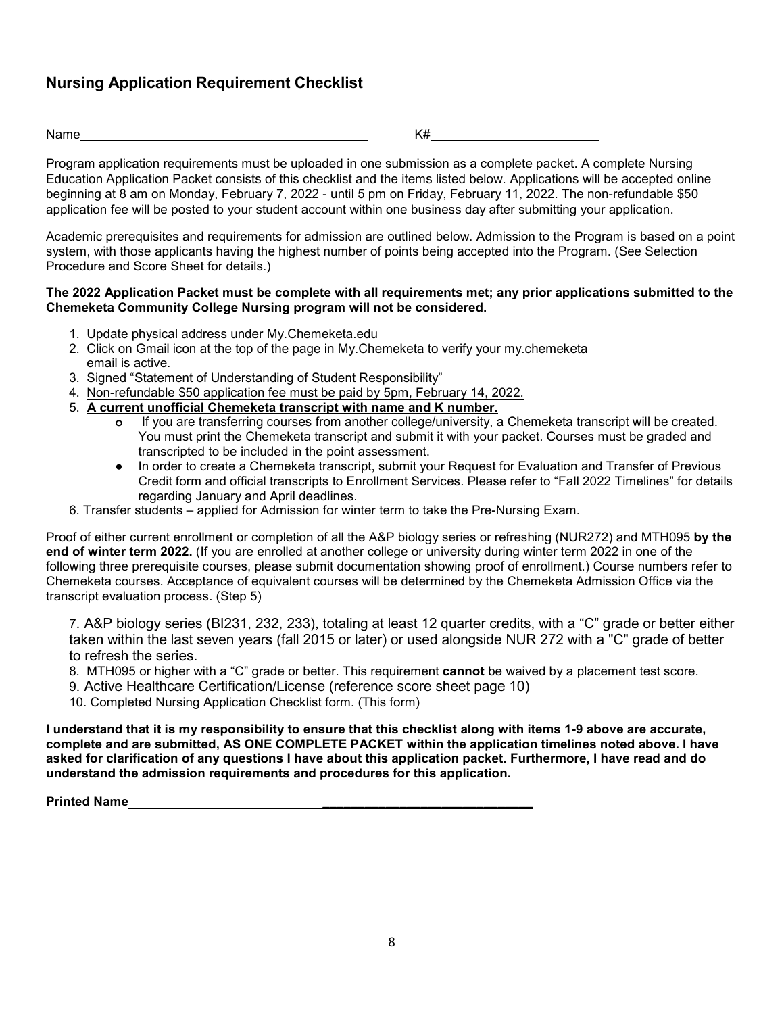## **Nursing Application Requirement Checklist**

Name  $K\#$ 

Program application requirements must be uploaded in one submission as a complete packet. A complete Nursing Education Application Packet consists of this checklist and the items listed below. Applications will be accepted online beginning at 8 am on Monday, February 7, 2022 - until 5 pm on Friday, February 11, 2022. The non-refundable \$50 application fee will be posted to your student account within one business day after submitting your application.

Academic prerequisites and requirements for admission are outlined below. Admission to the Program is based on a point system, with those applicants having the highest number of points being accepted into the Program. (See Selection Procedure and Score Sheet for details.)

### **The 2022 Application Packet must be complete with all requirements met; any prior applications submitted to the Chemeketa Community College Nursing program will not be considered.**

- 1. Update physical address under My.Chemeketa.edu
- 2. Click on Gmail icon at the top of the page in My.Chemeketa to verify your my.chemeketa email is active.
- 3. Signed "Statement of Understanding of Student Responsibility"
- 4. Non-refundable \$50 application fee must be paid by 5pm, February 14, 2022.
- 5. **A current unofficial Chemeketa transcript with name and K number.**
	- **o** If you are transferring courses from another college/university, a Chemeketa transcript will be created. You must print the Chemeketa transcript and submit it with your packet. Courses must be graded and transcripted to be included in the point assessment.
	- In order to create a Chemeketa transcript, submit your Request for Evaluation and Transfer of Previous Credit form and official transcripts to Enrollment Services. Please refer to "Fall 2022 Timelines" for details regarding January and April deadlines.
- 6. Transfer students applied for Admission for winter term to take the Pre-Nursing Exam.

Proof of either current enrollment or completion of all the A&P biology series or refreshing (NUR272) and MTH095 **by the end of winter term 2022.** (If you are enrolled at another college or university during winter term 2022 in one of the following three prerequisite courses, please submit documentation showing proof of enrollment.) Course numbers refer to Chemeketa courses. Acceptance of equivalent courses will be determined by the Chemeketa Admission Office via the transcript evaluation process. (Step 5)

7. A&P biology series (BI231, 232, 233), totaling at least 12 quarter credits, with a "C" grade or better either taken within the last seven years (fall 2015 or later) or used alongside NUR 272 with a "C" grade of better to refresh the series.

- 8. MTH095 or higher with a "C" grade or better. This requirement **cannot** be waived by a placement test score.
- 9. Active Healthcare Certification/License (reference score sheet page 10)
- 10. Completed Nursing Application Checklist form. (This form)

**I understand that it is my responsibility to ensure that this checklist along with items 1-9 above are accurate, complete and are submitted, AS ONE COMPLETE PACKET within the application timelines noted above. I have asked for clarification of any questions I have about this application packet. Furthermore, I have read and do understand the admission requirements and procedures for this application.**

**Printed Name \_\_\_\_\_\_\_\_\_\_\_\_\_\_\_\_\_\_\_\_\_\_\_\_\_\_\_\_\_\_**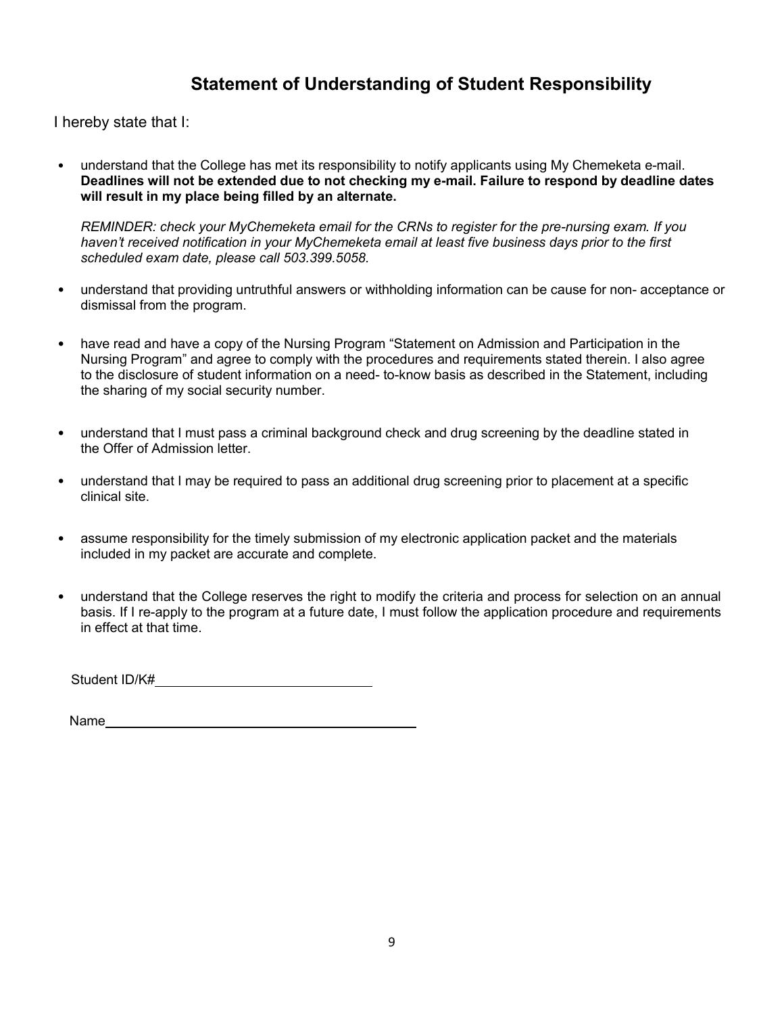## **Statement of Understanding of Student Responsibility**

I hereby state that I:

• understand that the College has met its responsibility to notify applicants using My Chemeketa e-mail. **Deadlines will not be extended due to not checking my e-mail. Failure to respond by deadline dates will result in my place being filled by an alternate.**

*REMINDER: check your MyChemeketa email for the CRNs to register for the pre-nursing exam. If you haven't received notification in your MyChemeketa email at least five business days prior to the first scheduled exam date, please call 503.399.5058.*

- understand that providing untruthful answers or withholding information can be cause for non- acceptance or dismissal from the program.
- have read and have a copy of the Nursing Program "Statement on Admission and Participation in the Nursing Program" and agree to comply with the procedures and requirements stated therein. I also agree to the disclosure of student information on a need- to-know basis as described in the Statement, including the sharing of my social security number.
- understand that I must pass a criminal background check and drug screening by the deadline stated in the Offer of Admission letter.
- understand that I may be required to pass an additional drug screening prior to placement at a specific clinical site.
- assume responsibility for the timely submission of my electronic application packet and the materials included in my packet are accurate and complete.
- understand that the College reserves the right to modify the criteria and process for selection on an annual basis. If I re-apply to the program at a future date, I must follow the application procedure and requirements in effect at that time.

Student ID/K#

Name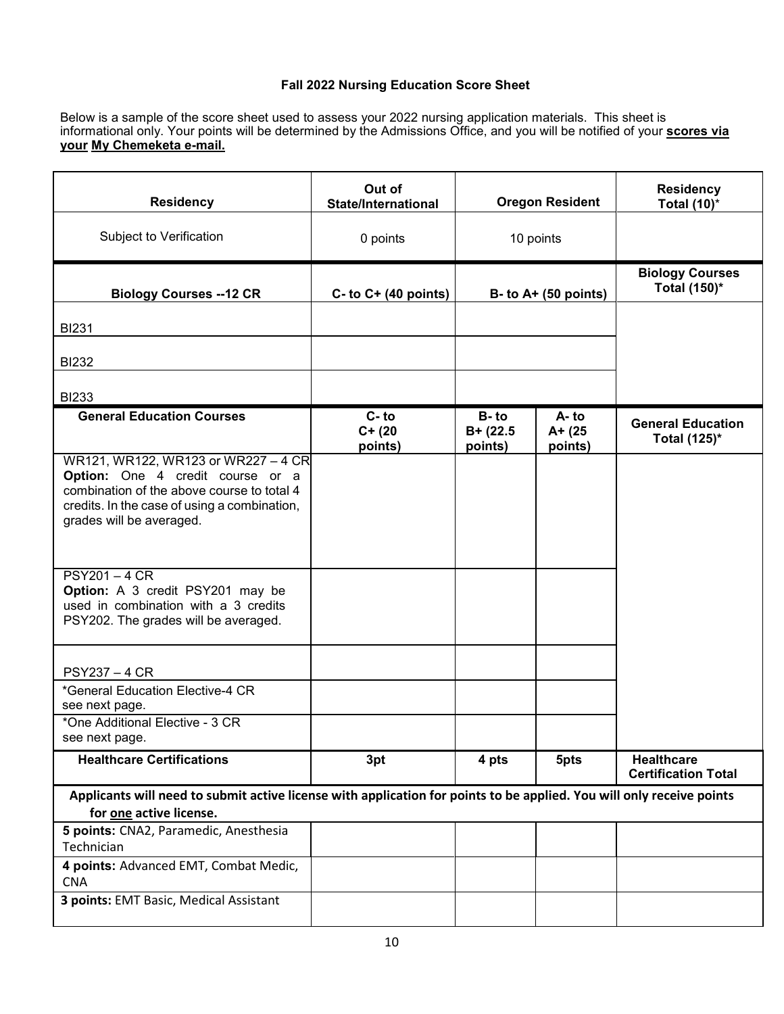### **Fall 2022 Nursing Education Score Sheet**

Below is a sample of the score sheet used to assess your 2022 nursing application materials. This sheet is informational only. Your points will be determined by the Admissions Office, and you will be notified of your **scores via your My Chemeketa e-mail.**

| <b>Residency</b>                                                                                                                                                                                  | Out of<br><b>State/International</b> | <b>Oregon Resident</b>          |                               | <b>Residency</b><br><b>Total (10)*</b>          |
|---------------------------------------------------------------------------------------------------------------------------------------------------------------------------------------------------|--------------------------------------|---------------------------------|-------------------------------|-------------------------------------------------|
| Subject to Verification                                                                                                                                                                           | 0 points                             | 10 points                       |                               |                                                 |
| <b>Biology Courses -- 12 CR</b>                                                                                                                                                                   | $C-$ to $C+$ (40 points)             | $B - to A + (50 points)$        |                               | <b>Biology Courses</b><br>Total (150)*          |
| <b>BI231</b>                                                                                                                                                                                      |                                      |                                 |                               |                                                 |
| <b>BI232</b>                                                                                                                                                                                      |                                      |                                 |                               |                                                 |
| <b>BI233</b>                                                                                                                                                                                      |                                      |                                 |                               |                                                 |
| <b>General Education Courses</b>                                                                                                                                                                  | $C - to$<br>$C+ (20)$<br>points)     | $B-to$<br>$B+ (22.5$<br>points) | A-to<br>$A + (25)$<br>points) | <b>General Education</b><br>Total (125)*        |
| WR121, WR122, WR123 or WR227 - 4 CR<br>Option: One 4 credit course or a<br>combination of the above course to total 4<br>credits. In the case of using a combination,<br>grades will be averaged. |                                      |                                 |                               |                                                 |
| <b>PSY201-4 CR</b><br>Option: A 3 credit PSY201 may be<br>used in combination with a 3 credits<br>PSY202. The grades will be averaged.                                                            |                                      |                                 |                               |                                                 |
| <b>PSY237 - 4 CR</b>                                                                                                                                                                              |                                      |                                 |                               |                                                 |
| *General Education Elective-4 CR<br>see next page.                                                                                                                                                |                                      |                                 |                               |                                                 |
| *One Additional Elective - 3 CR<br>see next page.                                                                                                                                                 |                                      |                                 |                               |                                                 |
| <b>Healthcare Certifications</b>                                                                                                                                                                  | 3pt                                  | 4 pts                           | 5pts                          | <b>Healthcare</b><br><b>Certification Total</b> |
| Applicants will need to submit active license with application for points to be applied. You will only receive points<br>for one active license.                                                  |                                      |                                 |                               |                                                 |
| 5 points: CNA2, Paramedic, Anesthesia<br>Technician                                                                                                                                               |                                      |                                 |                               |                                                 |
| 4 points: Advanced EMT, Combat Medic,<br><b>CNA</b>                                                                                                                                               |                                      |                                 |                               |                                                 |
| 3 points: EMT Basic, Medical Assistant                                                                                                                                                            |                                      |                                 |                               |                                                 |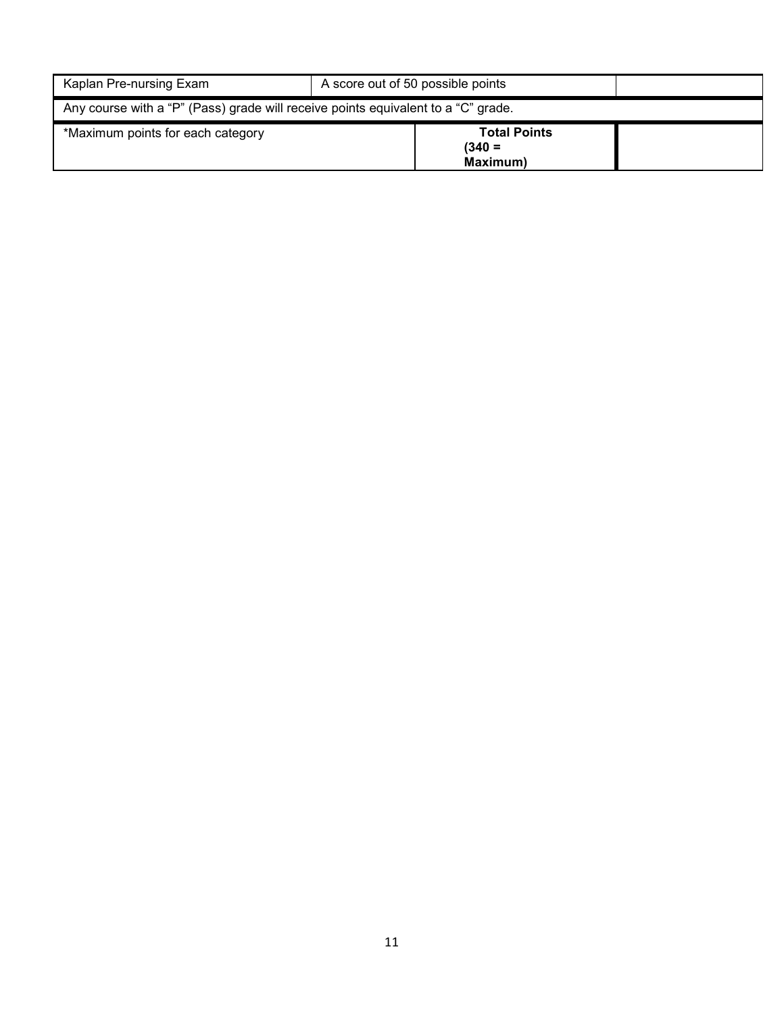| Kaplan Pre-nursing Exam                                                           | A score out of 50 possible points                   |  |  |  |  |
|-----------------------------------------------------------------------------------|-----------------------------------------------------|--|--|--|--|
| Any course with a "P" (Pass) grade will receive points equivalent to a "C" grade. |                                                     |  |  |  |  |
| *Maximum points for each category                                                 | <b>Total Points</b><br>$(340 =$<br><b>Maximum</b> ) |  |  |  |  |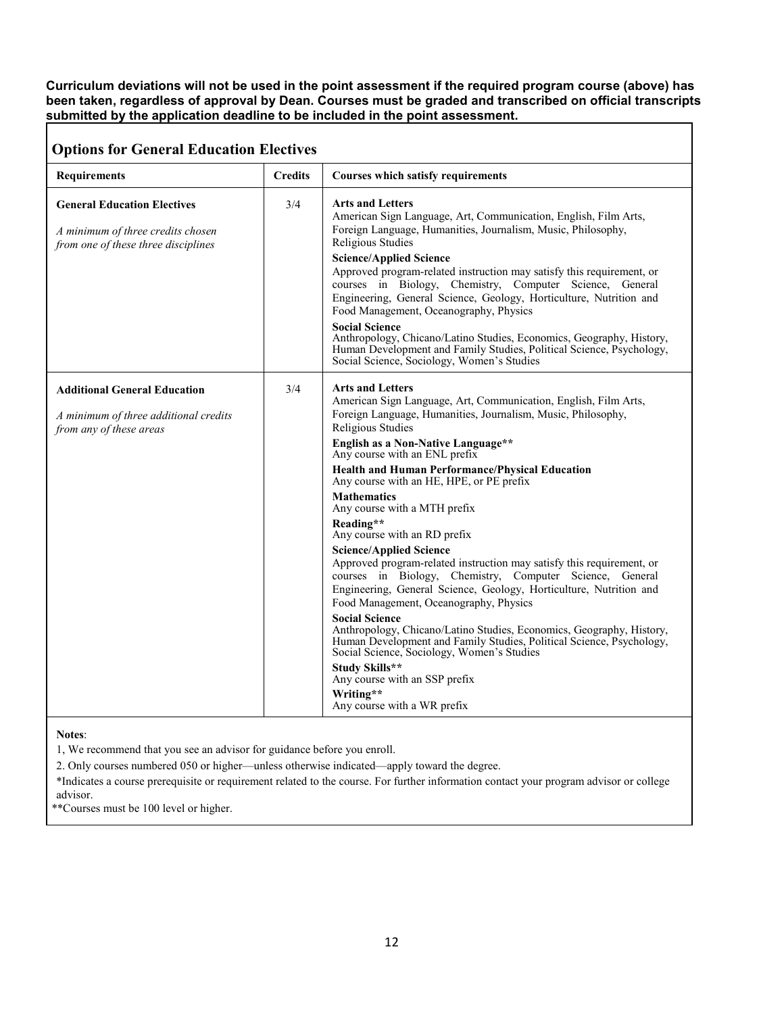#### **Curriculum deviations will not be used in the point assessment if the required program course (above) has been taken, regardless of approval by Dean. Courses must be graded and transcribed on official transcripts submitted by the application deadline to be included in the point assessment.**

### **Options for General Education Electives**

| Opuons for General Eugeation Electrics                                                                         |                |                                                                                                                                                                                                                                                                                                                                                                                                                                                                                                                                                                                                                                                                                                                                                                                                                                                                                                                                                                                                                                                                              |
|----------------------------------------------------------------------------------------------------------------|----------------|------------------------------------------------------------------------------------------------------------------------------------------------------------------------------------------------------------------------------------------------------------------------------------------------------------------------------------------------------------------------------------------------------------------------------------------------------------------------------------------------------------------------------------------------------------------------------------------------------------------------------------------------------------------------------------------------------------------------------------------------------------------------------------------------------------------------------------------------------------------------------------------------------------------------------------------------------------------------------------------------------------------------------------------------------------------------------|
| <b>Requirements</b>                                                                                            | <b>Credits</b> | <b>Courses which satisfy requirements</b>                                                                                                                                                                                                                                                                                                                                                                                                                                                                                                                                                                                                                                                                                                                                                                                                                                                                                                                                                                                                                                    |
| <b>General Education Electives</b><br>A minimum of three credits chosen<br>from one of these three disciplines | 3/4            | <b>Arts and Letters</b><br>American Sign Language, Art, Communication, English, Film Arts,<br>Foreign Language, Humanities, Journalism, Music, Philosophy,<br>Religious Studies<br><b>Science/Applied Science</b><br>Approved program-related instruction may satisfy this requirement, or<br>courses in Biology, Chemistry, Computer Science, General<br>Engineering, General Science, Geology, Horticulture, Nutrition and<br>Food Management, Oceanography, Physics<br><b>Social Science</b><br>Anthropology, Chicano/Latino Studies, Economics, Geography, History,<br>Human Development and Family Studies, Political Science, Psychology,<br>Social Science, Sociology, Women's Studies                                                                                                                                                                                                                                                                                                                                                                                |
| <b>Additional General Education</b><br>A minimum of three additional credits<br>from any of these areas        | 3/4            | <b>Arts and Letters</b><br>American Sign Language, Art, Communication, English, Film Arts,<br>Foreign Language, Humanities, Journalism, Music, Philosophy,<br>Religious Studies<br>English as a Non-Native Language**<br>Any course with an ENL prefix<br><b>Health and Human Performance/Physical Education</b><br>Any course with an HE, HPE, or PE prefix<br><b>Mathematics</b><br>Any course with a MTH prefix<br>Reading**<br>Any course with an RD prefix<br><b>Science/Applied Science</b><br>Approved program-related instruction may satisfy this requirement, or<br>courses in Biology, Chemistry, Computer Science, General<br>Engineering, General Science, Geology, Horticulture, Nutrition and<br>Food Management, Oceanography, Physics<br><b>Social Science</b><br>Anthropology, Chicano/Latino Studies, Economics, Geography, History,<br>Human Development and Family Studies, Political Science, Psychology,<br>Social Science, Sociology, Women's Studies<br>Study Skills**<br>Any course with an SSP prefix<br>Writing**<br>Any course with a WR prefix |

### **Notes**:

1, We recommend that you see an advisor for guidance before you enroll.

2. Only courses numbered 050 or higher—unless otherwise indicated—apply toward the degree.

\*Indicates a course prerequisite or requirement related to the course. For further information contact your program advisor or college advisor.

\*\*Courses must be 100 level or higher.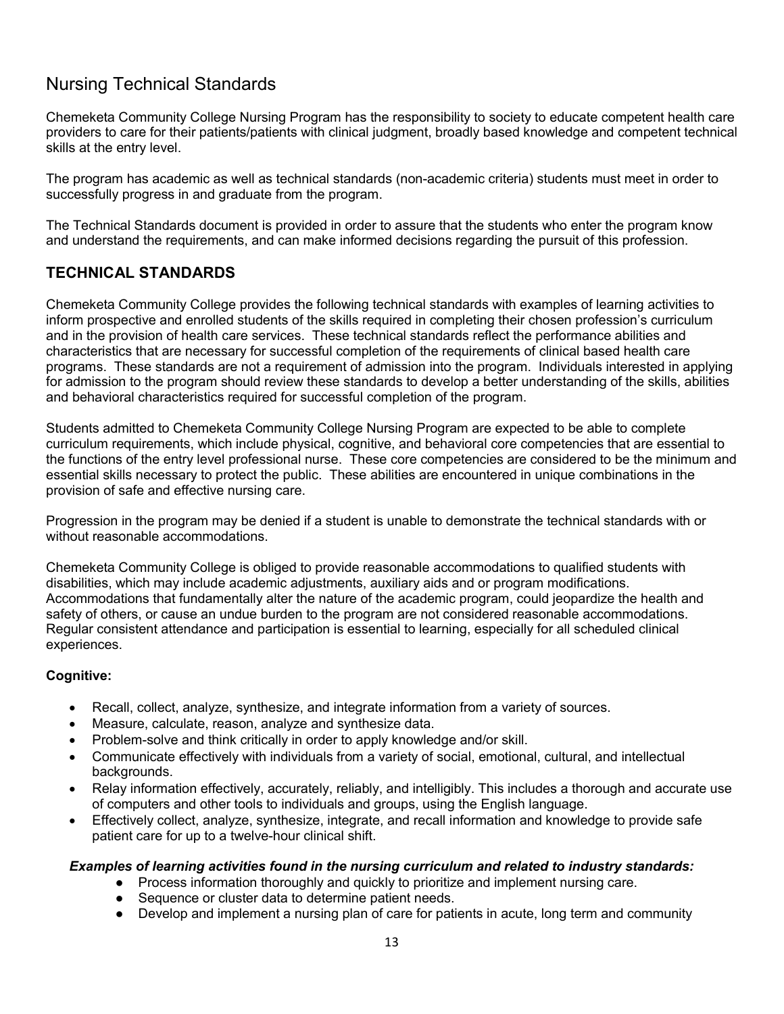## Nursing Technical Standards

Chemeketa Community College Nursing Program has the responsibility to society to educate competent health care providers to care for their patients/patients with clinical judgment, broadly based knowledge and competent technical skills at the entry level.

The program has academic as well as technical standards (non-academic criteria) students must meet in order to successfully progress in and graduate from the program.

The Technical Standards document is provided in order to assure that the students who enter the program know and understand the requirements, and can make informed decisions regarding the pursuit of this profession.

### **TECHNICAL STANDARDS**

Chemeketa Community College provides the following technical standards with examples of learning activities to inform prospective and enrolled students of the skills required in completing their chosen profession's curriculum and in the provision of health care services. These technical standards reflect the performance abilities and characteristics that are necessary for successful completion of the requirements of clinical based health care programs. These standards are not a requirement of admission into the program. Individuals interested in applying for admission to the program should review these standards to develop a better understanding of the skills, abilities and behavioral characteristics required for successful completion of the program.

Students admitted to Chemeketa Community College Nursing Program are expected to be able to complete curriculum requirements, which include physical, cognitive, and behavioral core competencies that are essential to the functions of the entry level professional nurse. These core competencies are considered to be the minimum and essential skills necessary to protect the public. These abilities are encountered in unique combinations in the provision of safe and effective nursing care.

Progression in the program may be denied if a student is unable to demonstrate the technical standards with or without reasonable accommodations.

Chemeketa Community College is obliged to provide reasonable accommodations to qualified students with disabilities, which may include academic adjustments, auxiliary aids and or program modifications. Accommodations that fundamentally alter the nature of the academic program, could jeopardize the health and safety of others, or cause an undue burden to the program are not considered reasonable accommodations. Regular consistent attendance and participation is essential to learning, especially for all scheduled clinical experiences.

### **Cognitive:**

- Recall, collect, analyze, synthesize, and integrate information from a variety of sources.
- Measure, calculate, reason, analyze and synthesize data.
- Problem-solve and think critically in order to apply knowledge and/or skill.
- Communicate effectively with individuals from a variety of social, emotional, cultural, and intellectual backgrounds.
- Relay information effectively, accurately, reliably, and intelligibly. This includes a thorough and accurate use of computers and other tools to individuals and groups, using the English language.
- Effectively collect, analyze, synthesize, integrate, and recall information and knowledge to provide safe patient care for up to a twelve-hour clinical shift.

### *Examples of learning activities found in the nursing curriculum and related to industry standards:*

- Process information thoroughly and quickly to prioritize and implement nursing care.
- Sequence or cluster data to determine patient needs.
- Develop and implement a nursing plan of care for patients in acute, long term and community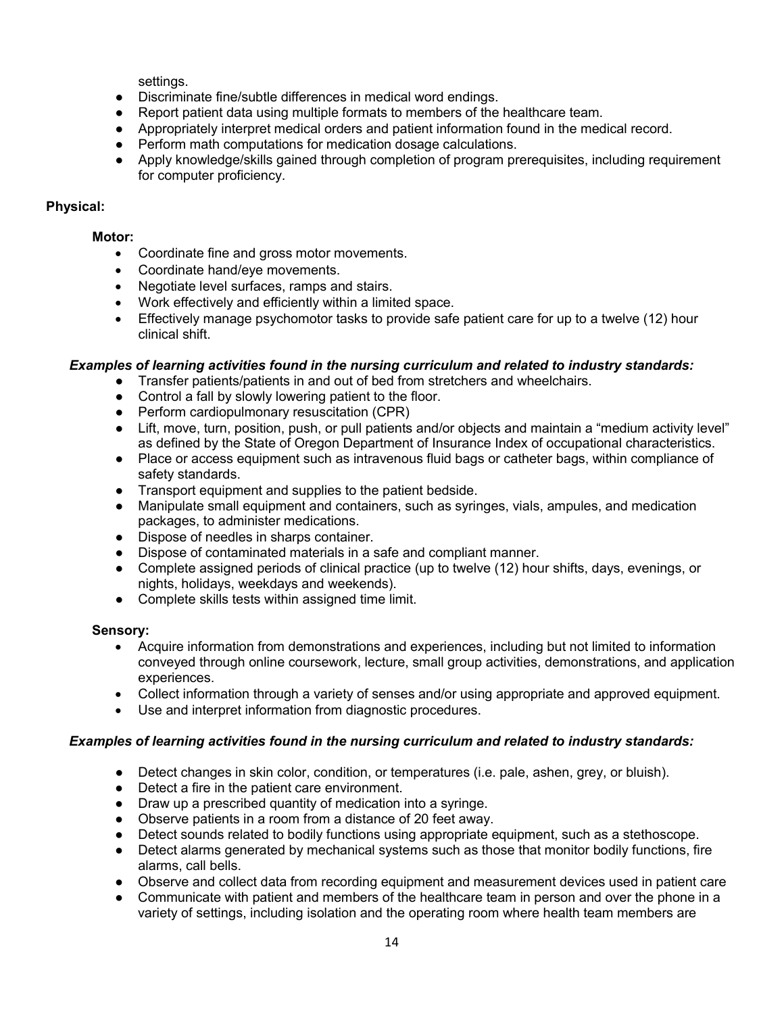settings.

- Discriminate fine/subtle differences in medical word endings.
- Report patient data using multiple formats to members of the healthcare team.
- Appropriately interpret medical orders and patient information found in the medical record.
- Perform math computations for medication dosage calculations.
- Apply knowledge/skills gained through completion of program prerequisites, including requirement for computer proficiency.

### **Physical:**

### **Motor:**

- Coordinate fine and gross motor movements.
- Coordinate hand/eye movements.
- Negotiate level surfaces, ramps and stairs.
- Work effectively and efficiently within a limited space.
- Effectively manage psychomotor tasks to provide safe patient care for up to a twelve (12) hour clinical shift.

### *Examples of learning activities found in the nursing curriculum and related to industry standards:*

- Transfer patients/patients in and out of bed from stretchers and wheelchairs.
- Control a fall by slowly lowering patient to the floor.
- Perform cardiopulmonary resuscitation (CPR)
- Lift, move, turn, position, push, or pull patients and/or objects and maintain a "medium activity level" as defined by the State of Oregon Department of Insurance Index of occupational characteristics.
- Place or access equipment such as intravenous fluid bags or catheter bags, within compliance of safety standards.
- Transport equipment and supplies to the patient bedside.
- Manipulate small equipment and containers, such as syringes, vials, ampules, and medication packages, to administer medications.
- Dispose of needles in sharps container.
- Dispose of contaminated materials in a safe and compliant manner.
- Complete assigned periods of clinical practice (up to twelve (12) hour shifts, days, evenings, or nights, holidays, weekdays and weekends).
- Complete skills tests within assigned time limit.

### **Sensory:**

- Acquire information from demonstrations and experiences, including but not limited to information conveyed through online coursework, lecture, small group activities, demonstrations, and application experiences.
- Collect information through a variety of senses and/or using appropriate and approved equipment.
- Use and interpret information from diagnostic procedures.

### *Examples of learning activities found in the nursing curriculum and related to industry standards:*

- Detect changes in skin color, condition, or temperatures (i.e. pale, ashen, grey, or bluish).
- Detect a fire in the patient care environment.
- Draw up a prescribed quantity of medication into a syringe.
- Observe patients in a room from a distance of 20 feet away.
- Detect sounds related to bodily functions using appropriate equipment, such as a stethoscope.
- Detect alarms generated by mechanical systems such as those that monitor bodily functions, fire alarms, call bells.
- Observe and collect data from recording equipment and measurement devices used in patient care
- Communicate with patient and members of the healthcare team in person and over the phone in a variety of settings, including isolation and the operating room where health team members are